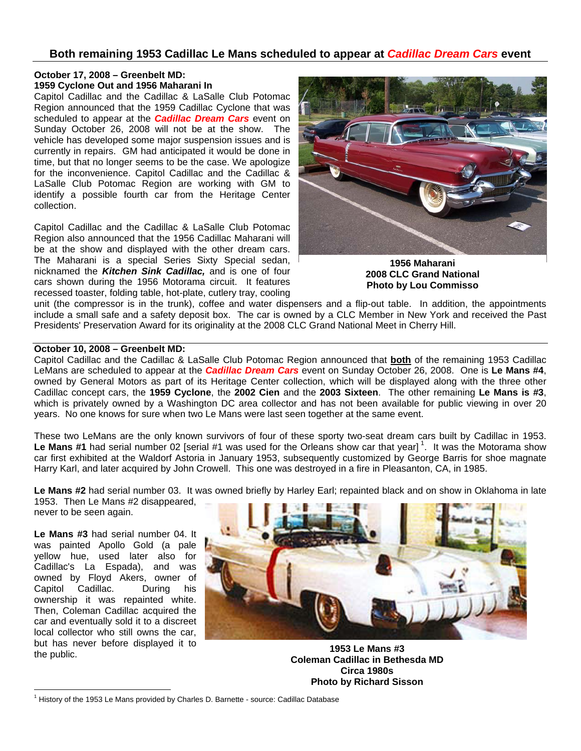## **Both remaining 1953 Cadillac Le Mans scheduled to appear at** *Cadillac Dream Cars* **event**

## **October 17, 2008 – Greenbelt MD: 1959 Cyclone Out and 1956 Maharani In**

Capitol Cadillac and the Cadillac & LaSalle Club Potomac Region announced that the 1959 Cadillac Cyclone that was scheduled to appear at the *Cadillac Dream Cars* event on Sunday October 26, 2008 will not be at the show. The vehicle has developed some major suspension issues and is currently in repairs. GM had anticipated it would be done in time, but that no longer seems to be the case. We apologize for the inconvenience. Capitol Cadillac and the Cadillac & LaSalle Club Potomac Region are working with GM to identify a possible fourth car from the Heritage Center collection.

Capitol Cadillac and the Cadillac & LaSalle Club Potomac Region also announced that the 1956 Cadillac Maharani will be at the show and displayed with the other dream cars. The Maharani is a special Series Sixty Special sedan, nicknamed the *Kitchen Sink Cadillac,* and is one of four cars shown during the 1956 Motorama circuit. It features recessed toaster, folding table, hot-plate, cutlery tray, cooling



**1956 Maharani 2008 CLC Grand National Photo by Lou Commisso** 

unit (the compressor is in the trunk), coffee and water dispensers and a flip-out table. In addition, the appointments include a small safe and a safety deposit box. The car is owned by a CLC Member in New York and received the Past Presidents' Preservation Award for its originality at the 2008 CLC Grand National Meet in Cherry Hill.

## **October 10, 2008 – Greenbelt MD:**

Capitol Cadillac and the Cadillac & LaSalle Club Potomac Region announced that **both** of the remaining 1953 Cadillac LeMans are scheduled to appear at the *Cadillac Dream Cars* event on Sunday October 26, 2008. One is **Le Mans #4**, owned by General Motors as part of its Heritage Center collection, which will be displayed along with the three other Cadillac concept cars, the **1959 Cyclone**, the **2002 Cien** and the **2003 Sixteen**. The other remaining **Le Mans is #3**, which is privately owned by a Washington DC area collector and has not been available for public viewing in over 20 years. No one knows for sure when two Le Mans were last seen together at the same event.

These two LeMans are the only known survivors of four of these sporty two-seat dream cars built by Cadillac in 1953. Le Mans #1 had serial number 02 [serial #1 was used for the Orleans show car that year]<sup>1</sup>. It was the Motorama show car first exhibited at the Waldorf Astoria in January 1953, subsequently customized by George Barris for shoe magnate Harry Karl, and later acquired by John Crowell. This one was destroyed in a fire in Pleasanton, CA, in 1985.

**Le Mans #2** had serial number 03. It was owned briefly by Harley Earl; repainted black and on show in Oklahoma in late

1953. Then Le Mans #2 disappeared, never to be seen again.

**Le Mans #3** had serial number 04. It was painted Apollo Gold (a pale yellow hue, used later also for Cadillac's La Espada), and was owned by Floyd Akers, owner of Capitol Cadillac. During his ownership it was repainted white. Then, Coleman Cadillac acquired the car and eventually sold it to a discreet local collector who still owns the car, but has never before displayed it to the public.

 $\overline{a}$ 



**1953 Le Mans #3 Coleman Cadillac in Bethesda MD Circa 1980s Photo by Richard Sisson** 

<sup>&</sup>lt;sup>1</sup> History of the 1953 Le Mans provided by Charles D. Barnette - source: Cadillac Database